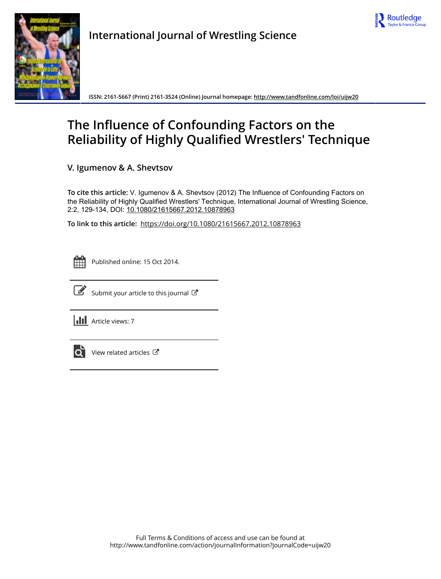



**International Journal of Wrestling Science**

**ISSN: 2161-5667 (Print) 2161-3524 (Online) Journal homepage:<http://www.tandfonline.com/loi/uijw20>**

# **The Influence of Confounding Factors on the Reliability of Highly Qualified Wrestlers' Technique**

**V. Igumenov & A. Shevtsov**

**To cite this article:** V. Igumenov & A. Shevtsov (2012) The Influence of Confounding Factors on the Reliability of Highly Qualified Wrestlers' Technique, International Journal of Wrestling Science, 2:2, 129-134, DOI: [10.1080/21615667.2012.10878963](http://www.tandfonline.com/action/showCitFormats?doi=10.1080/21615667.2012.10878963)

**To link to this article:** <https://doi.org/10.1080/21615667.2012.10878963>

|  | --<br>_ |  |
|--|---------|--|
|  |         |  |
|  |         |  |
|  |         |  |

Published online: 15 Oct 2014.



 $\overline{\mathscr{L}}$  [Submit your article to this journal](http://www.tandfonline.com/action/authorSubmission?journalCode=uijw20&show=instructions)  $\mathbb{F}$ 

**III** Article views: 7



 $\overrightarrow{Q}$  [View related articles](http://www.tandfonline.com/doi/mlt/10.1080/21615667.2012.10878963)  $\overrightarrow{C}$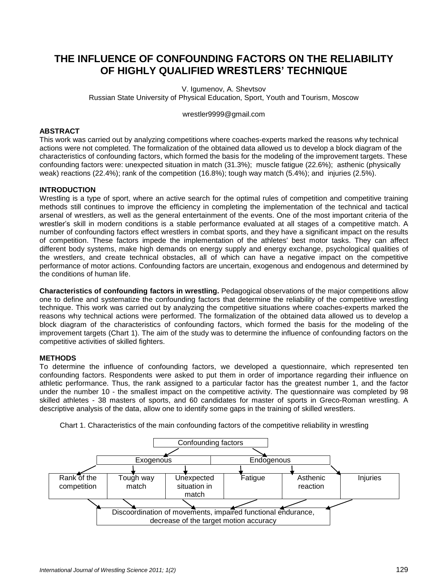# **THE INFLUENCE OF CONFOUNDING FACTORS ON THE RELIABILITY OF HIGHLY QUALIFIED WRESTLERS' TECHNIQUE**

V. Igumenov, A. Shevtsov Russian State University of Physical Education, Sport, Youth and Tourism, Moscow

wrestler9999@gmail.com

# **ABSTRACT**

This work was carried out by analyzing competitions where coaches-experts marked the reasons why technical actions were not completed. The formalization of the obtained data allowed us to develop a block diagram of the characteristics of confounding factors, which formed the basis for the modeling of the improvement targets. These confounding factors were: unexpected situation in match (31.3%); muscle fatigue (22.6%); asthenic (physically weak) reactions (22.4%); rank of the competition (16.8%); tough way match (5.4%); and injuries (2.5%).

# **INTRODUCTION**

Wrestling is a type of sport, where an active search for the optimal rules of competition and competitive training methods still continues to improve the efficiency in completing the implementation of the technical and tactical arsenal of wrestlers, as well as the general entertainment of the events. One of the most important criteria of the wrestler's skill in modern conditions is a stable performance evaluated at all stages of a competitive match. A number of confounding factors effect wrestlers in combat sports, and they have a significant impact on the results of competition. These factors impede the implementation of the athletes' best motor tasks. They can affect different body systems, make high demands on energy supply and energy exchange, psychological qualities of the wrestlers, and create technical obstacles, all of which can have a negative impact on the competitive performance of motor actions. Confounding factors are uncertain, exogenous and endogenous and determined by the conditions of human life.

**Characteristics of confounding factors in wrestling.** Pedagogical observations of the major competitions allow one to define and systematize the confounding factors that determine the reliability of the competitive wrestling technique. This work was carried out by analyzing the competitive situations where coaches-experts marked the reasons why technical actions were performed. The formalization of the obtained data allowed us to develop a block diagram of the characteristics of confounding factors, which formed the basis for the modeling of the improvement targets (Chart 1). The aim of the study was to determine the influence of confounding factors on the competitive activities of skilled fighters.

# **METHODS**

To determine the influence of confounding factors, we developed a questionnaire, which represented ten confounding factors. Respondents were asked to put them in order of importance regarding their influence on athletic performance. Thus, the rank assigned to a particular factor has the greatest number 1, and the factor under the number 10 - the smallest impact on the competitive activity. The questionnaire was completed by 98 skilled athletes - 38 masters of sports, and 60 candidates for master of sports in Greco-Roman wrestling. A descriptive analysis of the data, allow one to identify some gaps in the training of skilled wrestlers.



Chart 1. Characteristics of the main confounding factors of the competitive reliability in wrestling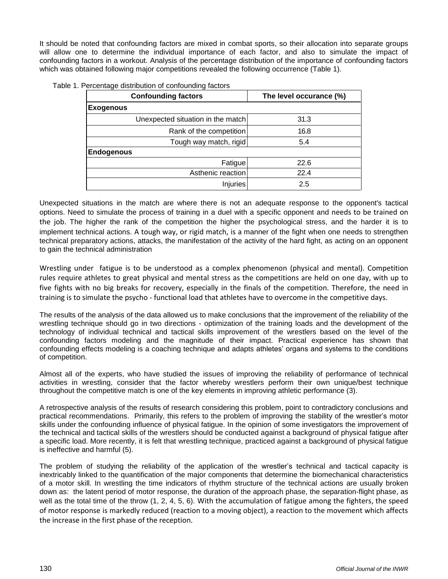It should be noted that confounding factors are mixed in combat sports, so their allocation into separate groups will allow one to determine the individual importance of each factor, and also to simulate the impact of confounding factors in a workout. Analysis of the percentage distribution of the importance of confounding factors which was obtained following major competitions revealed the following occurrence (Table 1).

| <b>Confounding factors</b>        | The level occurance (%) |  |
|-----------------------------------|-------------------------|--|
| <b>Exogenous</b>                  |                         |  |
| Unexpected situation in the match | 31.3                    |  |
| Rank of the competition           | 16.8                    |  |
| Tough way match, rigid            | 5.4                     |  |
| <b>Endogenous</b>                 |                         |  |
| Fatigue                           | 22.6                    |  |
| Asthenic reaction                 | 22.4                    |  |
| Injuries                          | 2.5                     |  |

|  |  | Table 1. Percentage distribution of confounding factors |
|--|--|---------------------------------------------------------|
|  |  |                                                         |

Unexpected situations in the match are where there is not an adequate response to the opponent's tactical options. Need to simulate the process of training in a duel with a specific opponent and needs to be trained on the job. The higher the rank of the competition the higher the psychological stress, and the harder it is to implement technical actions. A tough way, or rigid match, is a manner of the fight when one needs to strengthen technical preparatory actions, attacks, the manifestation of the activity of the hard fight, as acting on an opponent to gain the technical administration

Wrestling under fatigue is to be understood as a complex phenomenon (physical and mental). Competition rules require athletes to great physical and mental stress as the competitions are held on one day, with up to five fights with no big breaks for recovery, especially in the finals of the competition. Therefore, the need in training is to simulate the psycho - functional load that athletes have to overcome in the competitive days.

The results of the analysis of the data allowed us to make conclusions that the improvement of the reliability of the wrestling technique should go in two directions - optimization of the training loads and the development of the technology of individual technical and tactical skills improvement of the wrestlers based on the level of the confounding factors modeling and the magnitude of their impact. Practical experience has shown that confounding effects modeling is a coaching technique and adapts athletes' organs and systems to the conditions of competition.

Almost all of the experts, who have studied the issues of improving the reliability of performance of technical activities in wrestling, consider that the factor whereby wrestlers perform their own unique/best technique throughout the competitive match is one of the key elements in improving athletic performance (3).

A retrospective analysis of the results of research considering this problem, point to contradictory conclusions and practical recommendations. Primarily, this refers to the problem of improving the stability of the wrestler's motor skills under the confounding influence of physical fatigue. In the opinion of some investigators the improvement of the technical and tactical skills of the wrestlers should be conducted against a background of physical fatigue after a specific load. More recently, it is felt that wrestling technique, practiced against a background of physical fatigue is ineffective and harmful (5).

The problem of studying the reliability of the application of the wrestler's technical and tactical capacity is inextricably linked to the quantification of the major components that determine the biomechanical characteristics of a motor skill. In wrestling the time indicators of rhythm structure of the technical actions are usually broken down as: the latent period of motor response, the duration of the approach phase, the separation-flight phase, as well as the total time of the throw (1, 2, 4, 5, 6). With the accumulation of fatigue among the fighters, the speed of motor response is markedly reduced (reaction to a moving object), a reaction to the movement which affects the increase in the first phase of the reception.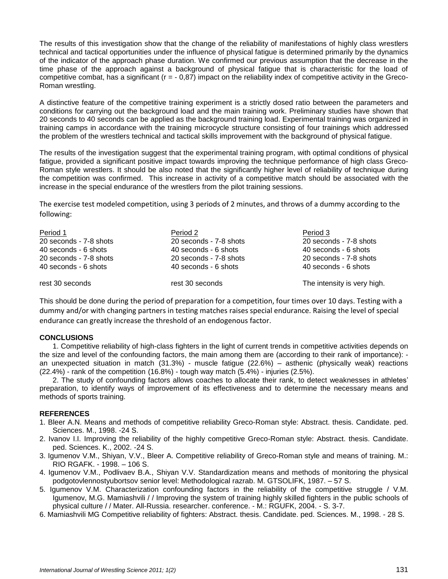The results of this investigation show that the change of the reliability of manifestations of highly class wrestlers technical and tactical opportunities under the influence of physical fatigue is determined primarily by the dynamics of the indicator of the approach phase duration. We confirmed our previous assumption that the decrease in the time phase of the approach against a background of physical fatigue that is characteristic for the load of competitive combat, has a significant ( $r = -0.87$ ) impact on the reliability index of competitive activity in the Greco-Roman wrestling.

A distinctive feature of the competitive training experiment is a strictly dosed ratio between the parameters and conditions for carrying out the background load and the main training work. Preliminary studies have shown that 20 seconds to 40 seconds can be applied as the background training load. Experimental training was organized in training camps in accordance with the training microcycle structure consisting of four trainings which addressed the problem of the wrestlers technical and tactical skills improvement with the background of physical fatigue.

The results of the investigation suggest that the experimental training program, with optimal conditions of physical fatigue, provided a significant positive impact towards improving the technique performance of high class Greco-Roman style wrestlers. It should be also noted that the significantly higher level of reliability of technique during the competition was confirmed. This increase in activity of a competitive match should be associated with the increase in the special endurance of the wrestlers from the pilot training sessions.

The exercise test modeled competition, using 3 periods of 2 minutes, and throws of a dummy according to the following:

| Period 1               | Period 2               | Period 3                    |
|------------------------|------------------------|-----------------------------|
| 20 seconds - 7-8 shots | 20 seconds - 7-8 shots | 20 seconds - 7-8 shots      |
| 40 seconds - 6 shots   | 40 seconds - 6 shots   | 40 seconds - 6 shots        |
| 20 seconds - 7-8 shots | 20 seconds - 7-8 shots | 20 seconds - 7-8 shots      |
| 40 seconds - 6 shots   | 40 seconds - 6 shots   | 40 seconds - 6 shots        |
| rest 30 seconds        | rest 30 seconds        | The intensity is very high. |

This should be done during the period of preparation for a competition, four times over 10 days. Testing with a dummy and/or with changing partners in testing matches raises special endurance. Raising the level of special endurance can greatly increase the threshold of an endogenous factor.

# **CONCLUSIONS**

1. Competitive reliability of high-class fighters in the light of current trends in competitive activities depends on the size and level of the confounding factors, the main among them are (according to their rank of importance): an unexpected situation in match (31.3%) - muscle fatigue (22.6%) – asthenic (physically weak) reactions  $(22.4%)$  - rank of the competition  $(16.8%)$  - tough way match  $(5.4%)$  - injuries  $(2.5%).$ 

2. The study of confounding factors allows coaches to allocate their rank, to detect weaknesses in athletes' preparation, to identify ways of improvement of its effectiveness and to determine the necessary means and methods of sports training.

# **REFERENCES**

- 1. Bleer A.N. Means and methods of competitive reliability Greco-Roman style: Abstract. thesis. Candidate. ped. Sciences. M., 1998. -24 S.
- 2. Ivanov I.I. Improving the reliability of the highly competitive Greco-Roman style: Abstract. thesis. Candidate. ped. Sciences. K., 2002. -24 S.
- 3. Igumenov V.M., Shiyan, V.V., Bleer A. Competitive reliability of Greco-Roman style and means of training. M.: RIO RGAFK. - 1998. – 106 S.
- 4. Igumenov V.M., Podlivaev B.A., Shiyan V.V. Standardization means and methods of monitoring the physical podgotovlennostyubortsov senior level: Methodological razrab. M. GTSOLIFK, 1987. – 57 S.
- 5. Igumenov V.M. Characterization confounding factors in the reliability of the competitive struggle / V.M. Igumenov, M.G. Mamiashvili / / Improving the system of training highly skilled fighters in the public schools of physical culture / / Mater. All-Russia. researcher. conference. - M.: RGUFK, 2004. - S. 3-7.
- 6. Mamiashvili MG Competitive reliability of fighters: Abstract. thesis. Candidate. ped. Sciences. M., 1998. 28 S.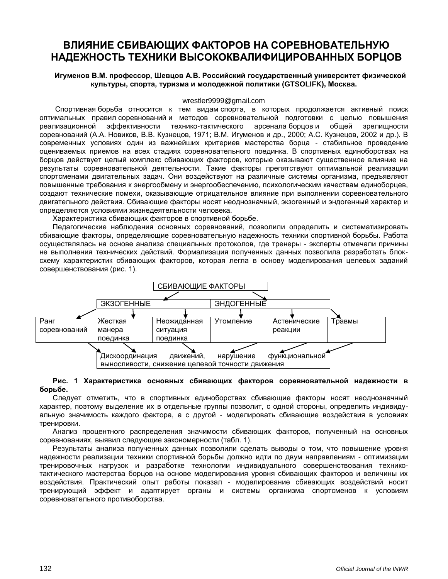# **ВЛИЯНИЕ СБИВАЮЩИХ ФАКТОРОВ НА СОРЕВНОВАТЕЛЬНУЮ НАДЕЖНОСТЬ ТЕХНИКИ ВЫСОКОКВАЛИФИЦИРОВАННЫХ БОРЦОВ**

# **Игуменов В.М. профессор, Шевцов А.В. Российский государственный университет физической культуры, спорта, туризма и молодежной политики (GTSOLIFK), Москва.**

#### wrestler9999@gmail.com

Спортивная борьба относится к тем видам спорта, в которых продолжается активный поиск оптимальных правил соревнований и методов соревновательной подготовки с целью повышения реализационной эффективности технико-тактического арсенала борцов и общей зрелищности соревнований (А.А. Новиков, В.В. Кузнецов, 1971; В.М. Игуменов и др., 2000; А.С. Кузнецов, 2002 и др.). В современных условиях один из важнейших критериев мастерства борца - стабильное проведение оцениваемых приемов на всех стадиях соревновательного поединка. В спортивных единоборствах на борцов действует целый комплекс сбивающих факторов, которые оказывают существенное влияние на результаты соревновательной деятельности. Такие факторы препятствуют оптимальной реализации спортсменами двигательных задач. Они воздействуют на различные системы организма, предъявляют повышенные требования к энергообмену и энергообеспечению, психологическим качествам единоборцев, создают технические помехи, оказывающие отрицательное влияние при выполнении соревновательного двигательного действия. Сбивающие факторы носят неоднозначный, экзогенный и эндогенный характер и определяются условиями жизнедеятельности человека.

Характеристика сбивающих факторов в спортивной борьбе.

Педагогические наблюдения основных соревнований, позволили определить и систематизировать сбивающие факторы, определяющие соревновательную надежность техники спортивной борьбы. Работа осуществлялась на основе анализа специальных протоколов, где тренеры - эксперты отмечали причины не выполнения технических действий. Формализация полученных данных позволила разработать блоксхему характеристик сбивающих факторов, которая легла в основу моделирования целевых заданий совершенствования (рис. 1).



#### **Рис. 1 Характеристика основных сбивающих факторов соревновательной надежности в борьбе.**

Следует отметить, что в спортивных единоборствах сбивающие факторы носят неоднозначный характер, поэтому выделение их в отдельные группы позволит, с одной стороны, определить индивидуальную значимость каждого фактора, а с другой - моделировать сбивающие воздействия в условиях тренировки.

Анализ процентного распределения значимости сбивающих факторов, полученный на основных соревнованиях, выявил следующие закономерности (табл. 1).

Результаты анализа полученных данных позволили сделать выводы о том, что повышение уровня надежности реализации техники спортивной борьбы должно идти по двум направлениям - оптимизации тренировочных нагрузок и разработке технологии индивидуального совершенствования техникотактического мастерства борцов на основе моделирования уровня сбивающих факторов и величины их воздействия. Практический опыт работы показал - моделирование сбивающих воздействий носит тренирующий эффект и адаптирует органы и системы организма спортсменов к условиям соревновательного противоборства.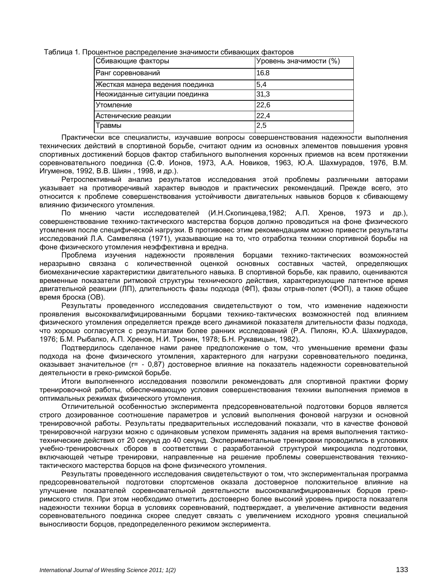Таблица 1*.* Процентное распределение значимости сбивающих факторов

| Сбивающие факторы               | Уровень значимости (%) |  |
|---------------------------------|------------------------|--|
| Ранг соревнований               | 16.8                   |  |
| Жесткая манера ведения поединка | 5,4                    |  |
| Неожиданные ситуации поединка   | 31,3                   |  |
| <b>Утомление</b>                | 22,6                   |  |
| Астенические реакции            | 22,4                   |  |
| Травмы                          | 2,5                    |  |

Практически все специалисты, изучавшие вопросы совершенствования надежности выполнения технических действий в спортивной борьбе, считают одним из основных элементов повышения уровня спортивных достижений борцов фактор стабильного выполнения коронных приемов на всем протяжении соревновательного поединка (С.Ф. Ионов, 1973, А.А. Новиков, 1963, Ю.А. Шахмурадов, 1976, В.М. Игуменов, 1992, В.В. Шиян , 1998, и др.).

Ретроспективный анализ результатов исследования этой проблемы различными авторами указывает на противоречивый характер выводов и практических рекомендаций. Прежде всего, это относится к проблеме совершенствования устойчивости двигательных навыков борцов к сбивающему влиянию физического утомления.

По мнению части исследователей (И.Н.Скопинцева,1982; А.П. Хренов, 1973 и др.), совершенствование технико-тактического мастерства борцов должно проводиться на фоне физического утомления после специфической нагрузки. В противовес этим рекомендациям можно привести результаты исследований Л.А. Самвеляна (1971), указывающие на то, что отработка техники спортивной борьбы на фоне физического утомления неэффективна и вредна.

Проблема изучения надежности проявления борцами технико-тактических возможностей неразрывно связана с количественной оценкой основных составных частей, определяющих биомеханические характеристики двигательного навыка. В спортивной борьбе, как правило, оцениваются временные показатели ритмовой структуры технического действия, характеризующие латентное время двигательной реакции (ЛП), длительность фазы подхода (ФП), фазы отрыв-полет (ФОП), а также общее время броска (ОВ).

Результаты проведенного исследования свидетельствуют о том, что изменение надежности проявления высококвалифицированными борцами технико-тактических возможностей под влиянием физического утомления определяется прежде всего динамикой показателя длительности фазы подхода, что хорошо согласуется с результатами более ранних исследований (Р.А. Пилоян, Ю.А. Шахмурадов, 1976; Б.М. Рыбалко, А.П. Хренов, Н.И. Тронин, 1978; Б.Н. Рукавицын, 1982).

Подтвердилось сделанное нами ранее предположение о том, что уменьшение времени фазы подхода на фоне физического утомления, характерного для нагрузки соревновательного поединка, оказывает значительное (r= - 0,87) достоверное влияние на показатель надежности соревновательной деятельности в греко-римской борьбе.

Итоги выполненного исследования позволили рекомендовать для спортивной практики форму тренировочной работы, обеспечивающую условия совершенствования техники выполнения приемов в оптимальных режимах физического утомления.

Отличительной особенностью эксперимента предсоревновательной подготовки борцов является строго дозированное соотношение параметров и условий выполнения фоновой нагрузки и основной тренировочной работы. Результаты предварительных исследований показали, что в качестве фоновой тренировочной нагрузки можно с одинаковым успехом применять задания на время выполнения тактикотехнические действия от 20 секунд до 40 секунд. Экспериментальные тренировки проводились в условиях учебно-тренировочных сборов в соответствии с разработанной структурой микроцикла подготовки, включающей четыре тренировки, направленные на решение проблемы совершенствования техникотактического мастерства борцов на фоне физического утомления.

Результаты проведенного исследования свидетельствуют о том, что экспериментальная программа предсоревновательной подготовки спортсменов оказала достоверное положительное влияние на улучшение показателей соревновательной деятельности высококвалифицированных борцов грекоримского стиля. При этом необходимо отметить достоверно более высокий уровень прироста показателя надежности техники борца в условиях соревнований, подтверждает, а увеличение активности ведения соревновательного поединка скорее следует связать с увеличением исходного уровня специальной выносливости борцов, предопределенного режимом эксперимента.